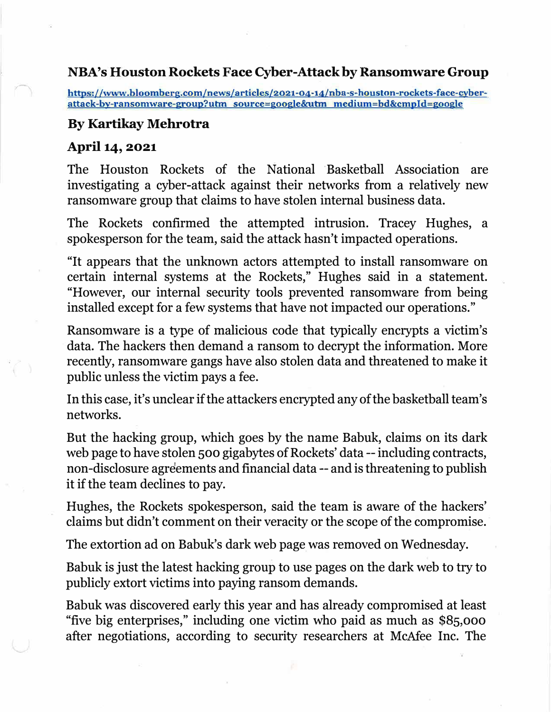## **NBA's Houston Rockets Face Cyber-Attack by Ransomware Group**

**https://www.bloomberg.com/news/articles/2021-04-14/nba-s-houston-rockets-face-cyberattack-by-ransomware-group?utm source=google&<sup>u</sup>bn medium=bd&cmpld=google** 

## **By Kartikay Mehrotra**

## **April 14, 2021**

The Houston Rockets of the National Basketball Association are investigating a cyber-attack against their networks from a relatively new ransomware group that claims to have stolen internal business data.

The Rockets confirmed the attempted intrusion. Tracey Hughes, a spokesperson for the team, said the attack hasn't impacted operations.

"It appears that the unknown actors attempted to install ransomware on certain internal systems at the Rockets," Hughes said in a statement. "However, our internal security tools prevented ransomware from being installed except for a few systems that have not impacted our operations."

Ransomware is a type of malicious code that typically encrypts a victim's data. The hackers then demand a ransom to decrypt the information. More recently, ransomware gangs have also stolen data and threatened to make it public unless the victim pays a fee.

In this case, it's unclear if the attackers encrypted any of the basketball team's networks.

But the hacking group, which goes by the name Babuk, claims on its dark web page to have stolen 500 gigabytes of Rockets' data -- including contracts, non-disclosure agreements and financial data -- and is threatening to publish it if the team declines to pay.

Hughes, the Rockets spokesperson, said the team is aware of the hackers' claims but didn't comment on their veracity or the scope of the compromise.

The extortion ad on Babuk's dark web page was removed on Wednesday.

Babuk is just the latest hacking group to use pages on the dark web to try to publicly extort victims into paying ransom demands.

Babuk was discovered early this year and has already compromised at least "five big enterprises," including one victim who paid as much as \$85,000 after negotiations, according to security researchers at McAfee Inc. The